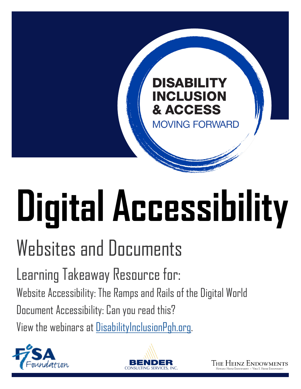## **DISABILITY INCLUSION** & ACCESS

**MOVING FORWARD** 

# **Digital Accessibility**

## Websites and Documents

Learning Takeaway Resource for: Website Accessibility: The Ramps and Rails of the Digital World Document Accessibility: Can you read this?

View the webinars at [DisabilityInclusionPgh.org](http://DisabilityInclusionPgh.org).





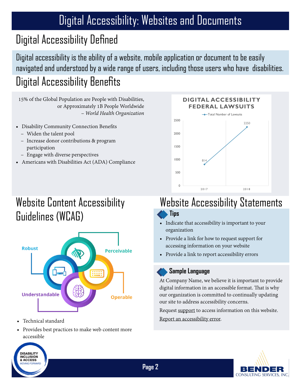## Digital Accessibility Defined

Digital accessibility is the ability of a website, mobile application or document to be easily navigated and understood by a wide range of users, including those users who have disabilities. Digital Accessibility Benefits

15% of the Global Population are People with Disabilities, or Approximately 1B People Worldwide *– World Health Organization*

- Disability Community Connection Benefits
	- Widen the talent pool
	- Increase donor contributions & program participation
	- Engage with diverse perspectives
- Americans with Disabilities Act (ADA) Compliance



## Website Content Accessibility Guidelines (WCAG)



• Technical standard

**DISARILITY DISABILITY & ACCESS** OVING FORWARD

• Provides best practices to make web content more accessible

## Website Accessibility Statements

#### **Tips**

**Page 2**

- Indicate that accessibility is important to your organization
- Provide a link for how to request support for accessing information on your website
- Provide a link to report accessibility errors

#### **Sample Language**

At Company Name, we believe it is important to provide digital information in an accessible format. That is why our organization is committed to continually updating our site to address accessibility concerns.

Request support to access information on this website. Report an accessibility error.

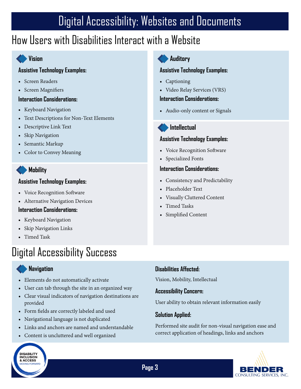### How Users with Disabilities Interact with a Website

#### **Vision**

#### **Assistive Technology Examples:**

- Screen Readers
- Screen Magnifiers

#### **Interaction Considerations:**

- Keyboard Navigation
- Text Descriptions for Non-Text Elements
- Descriptive Link Text
- Skip Navigation
- Semantic Markup
- Color to Convey Meaning

#### **Mobility**

#### **Assistive Technology Examples:**

- Voice Recognition Software
- Alternative Navigation Devices

#### **Interaction Considerations:**

- Keyboard Navigation
- Skip Navigation Links
- Timed Task

## Digital Accessibility Success

#### **Navigation**

**DISABILITY**<br>INCLUSION & ACCESS **MOVING FORWARD** 

- Elements do not automatically activate
- User can tab through the site in an organized way
- Clear visual indicators of navigation destinations are provided
- Form fields are correctly labeled and used
- Navigational language is not duplicated
- Links and anchors are named and understandable
- Content is uncluttered and well organized

#### **Auditory**

#### **Assistive Technology Examples:**

- Captioning
- Video Relay Services (VRS)

#### **Interaction Considerations:**

• Audio-only content or Signals



#### **Assistive Technology Examples:**

- Voice Recognition Software
- Specialized Fonts

#### **Interaction Considerations:**

- Consistency and Predictability
- Placeholder Text
- Visually Cluttered Content
- Timed Tasks
- Simplified Content

#### **Disabilities Affected:**

Vision, Mobility, Intellectual

#### **Accessibility Concern:**

User ability to obtain relevant information easily

#### **Solution Applied:**

Performed site audit for non-visual navigation ease and correct application of headings, links and anchors

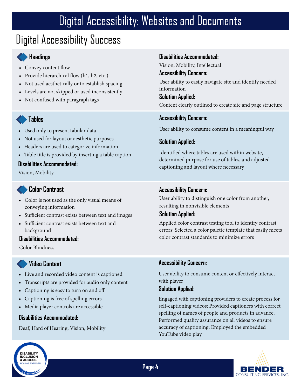## Digital Accessibility Success

#### **Headings**

- Convey content flow
- Provide hierarchical flow (h1, h2, etc.)
- Not used aesthetically or to establish spacing
- Levels are not skipped or used inconsistently
- Not confused with paragraph tags

#### **Tables**

- Used only to present tabular data
- Not used for layout or aesthetic purposes
- Headers are used to categorize information
- Table title is provided by inserting a table caption

#### **Disabilities Accommodated:**

Vision, Mobility

#### **Color Contrast**

- Color is not used as the only visual means of conveying information
- Sufficient contrast exists between text and images
- Sufficient contrast exists between text and background

#### **Disabilities Accommodated:**

Color Blindness

#### **Video Content**

- Live and recorded video content is captioned
- Transcripts are provided for audio only content
- Captioning is easy to turn on and off
- Captioning is free of spelling errors
- Media player controls are accessible

#### **Disabilities Accommodated:**

**DISARILITY DISABILITY & ACCESS IOVING FORWARD** 

Deaf, Hard of Hearing, Vision, Mobility

#### **Disabilities Accommodated:**

Vision, Mobility, Intellectual

#### **Accessibility Concern:**

User ability to easily navigate site and identify needed information

**Solution Applied:** Content clearly outlined to create site and page structure

#### **Accessibility Concern:**

User ability to consume content in a meaningful way

#### **Solution Applied:**

Identified where tables are used within website, determined purpose for use of tables, and adjusted captioning and layout where necessary

#### **Accessibility Concern:**

User ability to distinguish one color from another, resulting in nonvisible elements

#### **Solution Applied:**

Applied color contrast testing tool to identify contrast errors; Selected a color palette template that easily meets color contrast standards to minimize errors

#### **Accessibility Concern:**

User ability to consume content or effectively interact with player

#### **Solution Applied:**

Engaged with captioning providers to create process for self-captioning videos; Provided captioners with correct spelling of names of people and products in advance; Performed quality assurance on all videos to ensure accuracy of captioning; Employed the embedded YouTube video play



**Page 4**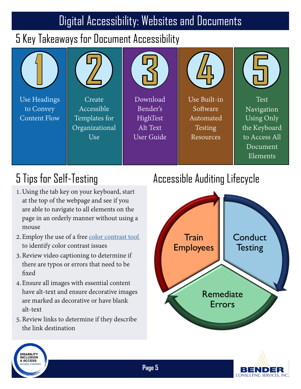## 5 Key Takeaways for Document Accessibility



## 5 Tips for Self-Testing

- 1.Using the tab key on your keyboard, start at the top of the webpage and see if you are able to navigate to all elements on the page in an orderly manner without using a mouse
- 2. Employ the use of a free [color contrast tool](https://github.com/ThePacielloGroup/CCAe/releases/tag/v1.2.1) to identify color contrast issues
- 3.Review video captioning to determine if there are typos or errors that need to be fixed
- 4. Ensure all images with essential content have alt-text and ensure decorative images are marked as decorative or have blank alt-text
- 5.Review links to determine if they describe the link destination

## Accessible Auditing Lifecycle





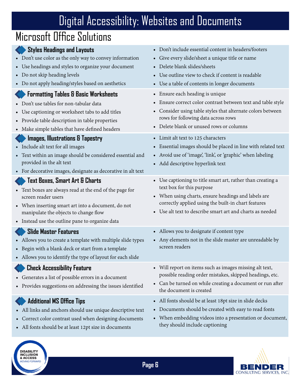## Microsoft Office Solutions

DISABILITY<br>INCLUSION<br>& ACCESS **MOVING FORWARD** 

| <b>Styles Headings and Layouts</b><br>• Don't use color as the only way to convey information<br>• Use headings and styles to organize your document<br>• Do not skip heading levels<br>• Do not apply heading/styles based on aesthetics                          | • Don't include essential content in headers/footers<br>• Give every slide/sheet a unique title or name<br>• Delete blank slides/sheets<br>• Use outline view to check if content is readable<br>• Use a table of contents in longer documents                      |
|--------------------------------------------------------------------------------------------------------------------------------------------------------------------------------------------------------------------------------------------------------------------|---------------------------------------------------------------------------------------------------------------------------------------------------------------------------------------------------------------------------------------------------------------------|
| <b>Formatting Tables &amp; Basic Worksheets</b><br>• Don't use tables for non-tabular data<br>• Use captioning or worksheet tabs to add titles<br>• Provide table description in table properties<br>• Make simple tables that have defined headers                | • Ensure each heading is unique<br>• Ensure correct color contrast between text and table style<br>Consider using table styles that alternate colors between<br>rows for following data across rows<br>• Delete blank or unused rows or columns                     |
| <b>Images, Illustrations &amp; Tapestry</b><br>• Include alt text for all images<br>• Text within an image should be considered essential and<br>provided in the alt text<br>• For decorative images, designate as decorative in alt text                          | • Limit alt text to 125 characters<br>• Essential images should be placed in line with related text<br>• Avoid use of 'image', 'link', or 'graphic' when labeling<br>• Add descriptive hyperlink text                                                               |
| Text Boxes, Smart Art & Charts<br>• Text boxes are always read at the end of the page for<br>screen reader users<br>• When inserting smart art into a document, do not<br>manipulate the objects to change flow<br>• Instead use the outline pane to organize data | • Use captioning to title smart art, rather than creating a<br>text box for this purpose<br>• When using charts, ensure headings and labels are<br>correctly applied using the built-in chart features<br>• Use alt text to describe smart art and charts as needed |
| <b>Slide Master Features</b><br>• Allows you to create a template with multiple slide types<br>• Begin with a blank deck or start from a template<br>• Allows you to identify the type of layout for each slide                                                    | • Allows you to designate if content type<br>• Any elements not in the slide master are unreadable by<br>screen readers                                                                                                                                             |
| <b>Check Accessibility Feature</b><br>• Generates a list of possible errors in a document<br>• Provides suggestions on addressing the issues identified                                                                                                            | • Will report on items such as images missing alt text,<br>possible reading order mistakes, skipped headings, etc.<br>• Can be turned on while creating a document or run after<br>the document is created                                                          |
| <b>Additional MS Office Tips</b><br>• All links and anchors should use unique descriptive text<br>• Correct color contrast used when designing documents<br>• All fonts should be at least 12pt size in documents                                                  | • All fonts should be at least 18pt size in slide decks<br>• Documents should be created with easy to read fonts<br>• When embedding videos into a presentation or document,<br>they should include captioning                                                      |

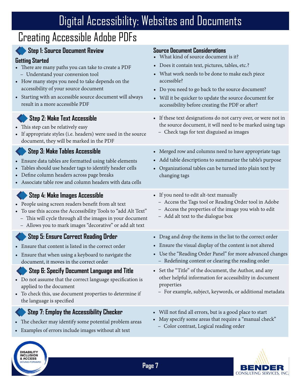## Creating Accessible Adobe PDFs

DISABILITY<br>INCLUSION<br>& ACCESS

| <b>Step 1: Source Document Review</b><br><b>Getting Started</b><br>• There are many paths you can take to create a PDF<br>- Understand your conversion tool<br>• How many steps you need to take depends on the<br>accessibility of your source document<br>• Starting with an accessible source document will always<br>result in a more accessible PDF | <b>Source Document Considerations</b><br>• What kind of source document is it?<br>· Does it contain text, pictures, tables, etc.?<br>• What work needs to be done to make each piece<br>accessible?<br>• Do you need to go back to the source document?<br>• Will it be quicker to update the source document for<br>accessibility before creating the PDF or after? |
|----------------------------------------------------------------------------------------------------------------------------------------------------------------------------------------------------------------------------------------------------------------------------------------------------------------------------------------------------------|----------------------------------------------------------------------------------------------------------------------------------------------------------------------------------------------------------------------------------------------------------------------------------------------------------------------------------------------------------------------|
| <b>Step 2: Make Text Accessible</b><br>• This step can be relatively easy<br>• If appropriate styles (i.e. headers) were used in the source<br>document, they will be marked in the PDF                                                                                                                                                                  | • If these text designations do not carry over, or were not in<br>the source document, it will need to be marked using tags<br>- Check tags for text disguised as images                                                                                                                                                                                             |
| Step 3: Make Tables Accessible<br>• Ensure data tables are formatted using table elements<br>• Tables should use header tags to identify header cells<br>• Define column headers across page breaks<br>• Associate table row and column headers with data cells                                                                                          | • Merged row and columns need to have appropriate tags<br>• Add table descriptions to summarize the table's purpose<br>• Organizational tables can be turned into plain text by<br>changing tags                                                                                                                                                                     |
| Step 4: Make Images Accessible<br>• People using screen readers benefit from alt text<br>• To use this access the Accessibility Tools to "add Alt Text"<br>- This will cycle through all the images in your document<br>- Allows you to mark images "decorative" or add alt text                                                                         | • If you need to edit alt-text manually<br>- Access the Tags tool or Reading Order tool in Adobe<br>- Access the properties of the image you wish to edit<br>- Add alt text to the dialogue box                                                                                                                                                                      |
| Step 5: Ensure Correct Reading Order<br>• Ensure that content is listed in the correct order<br>• Ensure that when using a keyboard to navigate the<br>document, it moves in the correct order                                                                                                                                                           | • Drag and drop the items in the list to the correct order<br>• Ensure the visual display of the content is not altered<br>• Use the "Reading Order Panel" for more advanced changes<br>- Redefining content or clearing the reading order                                                                                                                           |
| Step 6: Specify Document Language and Title<br>• Do not assume that the correct language specification is<br>applied to the document<br>• To check this, use document properties to determine if<br>the language is specified                                                                                                                            | • Set the "Title" of the document, the Author, and any<br>other helpful information for accessibility in document<br>properties<br>- For example, subject, keywords, or additional metadata                                                                                                                                                                          |
| Step 7: Employ the Accessibility Checker<br>• The checker may identify some potential problem areas<br>• Examples of errors include images without alt text                                                                                                                                                                                              | • Will not find all errors, but is a good place to start<br>May specify some areas that require a "manual check"<br>Color contrast, Logical reading order<br>-                                                                                                                                                                                                       |